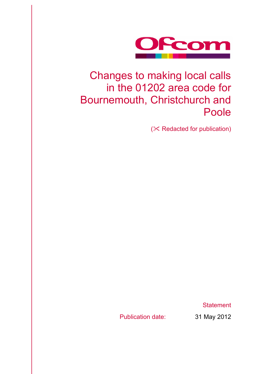

# Changes to making local calls in the 01202 area code for Bournemouth, Christchurch and Poole

 $(X \text{ Redacted for publication})$ 

**Statement** 

Publication date: 31 May 2012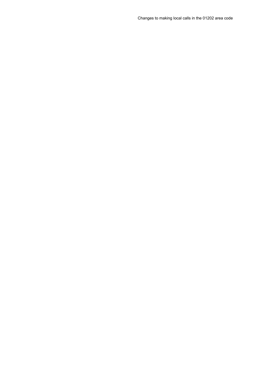Changes to making local calls in the 01202 area code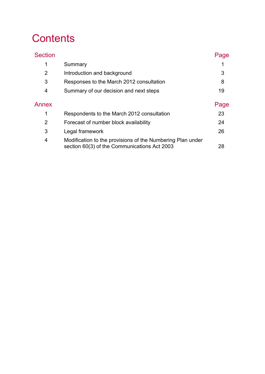# **Contents**

| <b>Section</b> |                                                                                                            | Page |
|----------------|------------------------------------------------------------------------------------------------------------|------|
| 1              | Summary                                                                                                    |      |
| 2              | Introduction and background                                                                                | 3    |
| 3              | Responses to the March 2012 consultation                                                                   | 8    |
| 4              | Summary of our decision and next steps                                                                     | 19   |
| Annex          |                                                                                                            | Page |
| 1              | Respondents to the March 2012 consultation                                                                 | 23   |
| 2              | Forecast of number block availability                                                                      | 24   |
| 3              | Legal framework                                                                                            | 26   |
| 4              | Modification to the provisions of the Numbering Plan under<br>section 60(3) of the Communications Act 2003 | 28   |
|                |                                                                                                            |      |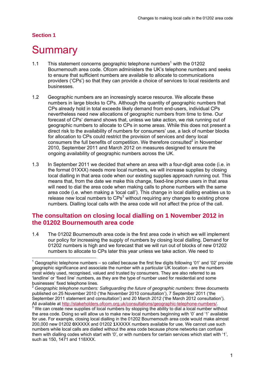## **Section 1**

 $\overline{\phantom{a}}$ 

# **Summary**

- 1.1 This statement concerns geographic telephone numbers<sup>1</sup> with the 01202 Bournemouth area code. Ofcom administers the UK's telephone numbers and seeks to ensure that sufficient numbers are available to allocate to communications providers ('CPs') so that they can provide a choice of services to local residents and businesses.
- 1.2 Geographic numbers are an increasingly scarce resource. We allocate these numbers in large blocks to CPs. Although the quantity of geographic numbers that CPs already hold in total exceeds likely demand from end-users, individual CPs nevertheless need new allocations of geographic numbers from time to time. Our forecast of CPs' demand shows that, unless we take action, we risk running out of geographic numbers to allocate to CPs in some areas. While this does not present a direct risk to the availability of numbers for consumers' use, a lack of number blocks for allocation to CPs could restrict the provision of services and deny local consumers the full benefits of competition. We therefore consulted $2$  in November 2010, September 2011 and March 2012 on measures designed to ensure the ongoing availability of geographic numbers across the UK.
- 1.3 In September 2011 we decided that where an area with a four-digit area code (i.e. in the format 01XXX) needs more local numbers, we will increase supplies by closing local dialling in that area code when our existing supplies approach running out. This means that, from the date we make this change, fixed-line phone users in that area will need to dial the area code when making calls to phone numbers with the same area code (i.e. when making a 'local call'). This change in local dialling enables us to release new local numbers to  $CPs<sup>3</sup>$  without requiring any changes to existing phone numbers. Dialling local calls with the area code will not affect the price of the call.

## **The consultation on closing local dialling on 1 November 2012 in the 01202 Bournemouth area code**

1.4 The 01202 Bournemouth area code is the first area code in which we will implement our policy for increasing the supply of numbers by closing local dialling. Demand for 01202 numbers is high and we forecast that we will run out of blocks of new 01202 numbers to allocate to CPs later this year unless we take action. We need to

<sup>1</sup> Geographic telephone numbers – so called because the first few digits following '01' and '02' provide geographic significance and associate the number with a particular UK location - are the numbers most widely used, recognised, valued and trusted by consumers. They are also referred to as 'landline' or 'fixed line' numbers, as they are the type of number used for residential and some businesses' fixed telephone lines.

<sup>2</sup> *Geographic telephone numbers: Safeguarding the future of geographic numbers*: three documents published on 25 November 2010 ('the November 2010 consultation'), 7 September 2011 ('the September 2011 statement and consultation') and 20 March 2012 ('the March 2012 consultation'). All available at http://stakeholders.ofcom.org.uk/consultations/geographic-telephone-numbers/.

<sup>&</sup>lt;sup>3</sup> We can create new supplies of local numbers by stopping the ability to dial a local number without the area code. Doing so will allow us to make new local numbers beginning with '0' and '1' available for use. For example, closing local dialling in the 01202 Bournemouth area code would make almost 200,000 new 01202 **0**XXXXX and 01202 **1**XXXXX numbers available for use. We cannot use such numbers while local calls are dialled without the area code because phone networks can confuse them with dialling codes which start with '0', or with numbers for certain services which start with '1', such as 150, 1471 and 118XXX.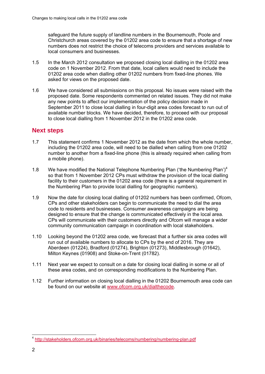safeguard the future supply of landline numbers in the Bournemouth, Poole and Christchurch areas covered by the 01202 area code to ensure that a shortage of new numbers does not restrict the choice of telecoms providers and services available to local consumers and businesses.

- 1.5 In the March 2012 consultation we proposed closing local dialling in the 01202 area code on 1 November 2012. From that date, local callers would need to include the 01202 area code when dialling other 01202 numbers from fixed-line phones. We asked for views on the proposed date.
- 1.6 We have considered all submissions on this proposal. No issues were raised with the proposed date. Some respondents commented on related issues. They did not make any new points to affect our implementation of the policy decision made in September 2011 to close local dialling in four-digit area codes forecast to run out of available number blocks. We have decided, therefore, to proceed with our proposal to close local dialling from 1 November 2012 in the 01202 area code.

## **Next steps**

- 1.7 This statement confirms 1 November 2012 as the date from which the whole number, including the 01202 area code, will need to be dialled when calling from one 01202 number to another from a fixed-line phone (this is already required when calling from a mobile phone).
- 1.8 We have modified the National Telephone Numbering Plan ('the Numbering Plan')<sup>4</sup> so that from 1 November 2012 CPs must withdraw the provision of the local dialling facility to their customers in the 01202 area code (there is a general requirement in the Numbering Plan to provide local dialling for geographic numbers).
- 1.9 Now the date for closing local dialling of 01202 numbers has been confirmed, Ofcom, CPs and other stakeholders can begin to communicate the need to dial the area code to residents and businesses. Consumer awareness campaigns are being designed to ensure that the change is communicated effectively in the local area. CPs will communicate with their customers directly and Ofcom will manage a wider community communication campaign in coordination with local stakeholders.
- 1.10 Looking beyond the 01202 area code, we forecast that a further six area codes will run out of available numbers to allocate to CPs by the end of 2016. They are Aberdeen (01224), Bradford (01274), Brighton (01273), Middlesbrough (01642), Milton Keynes (01908) and Stoke-on-Trent (01782).
- 1.11 Next year we expect to consult on a date for closing local dialling in some or all of these area codes, and on corresponding modifications to the Numbering Plan.
- 1.12 Further information on closing local dialling in the 01202 Bournemouth area code can be found on our website at www.ofcom.org.uk/dialthecode.

 <sup>4</sup> http://stakeholders.ofcom.org.uk/binaries/telecoms/numbering/numbering-plan.pdf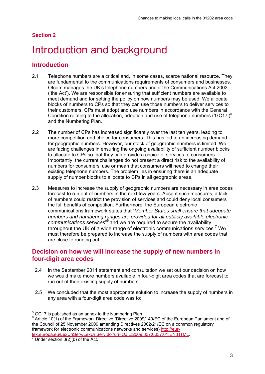## **Section 2**

# Introduction and background

## **Introduction**

- 2.1 Telephone numbers are a critical and, in some cases, scarce national resource. They are fundamental to the communications requirements of consumers and businesses. Ofcom manages the UK's telephone numbers under the Communications Act 2003 ('the Act'). We are responsible for ensuring that sufficient numbers are available to meet demand and for setting the policy on how numbers may be used. We allocate blocks of numbers to CPs so that they can use those numbers to deliver services to their customers. CPs must adopt and use numbers in accordance with the General Condition relating to the allocation, adoption and use of telephone numbers ( $GCI7$ )<sup>5</sup> and the Numbering Plan.
- 2.2 The number of CPs has increased significantly over the last ten years, leading to more competition and choice for consumers. This has led to an increasing demand for geographic numbers. However, our stock of geographic numbers is limited. We are facing challenges in ensuring the ongoing availability of sufficient number blocks to allocate to CPs so that they can provide a choice of services to consumers. Importantly, the current challenges do not present a direct risk to the availability of numbers for consumers' use or mean that consumers will need to change their existing telephone numbers. The problem lies in ensuring there is an adequate supply of number blocks to allocate to CPs in all geographic areas.
- 2.3 Measures to increase the supply of geographic numbers are necessary in area codes forecast to run out of numbers in the next few years. Absent such measures, a lack of numbers could restrict the provision of services and could deny local consumers the full benefits of competition. Furthermore, the European electronic communications framework states that "*Member States shall ensure that adequate numbers and numbering ranges are provided for all publicly available electronic*  communications services<sup>"6</sup> and we are required to secure the availability throughout the UK of a wide range of electronic communications services.<sup>7</sup> We must therefore be prepared to increase the supply of numbers with area codes that are close to running out.

## **Decision on how we will increase the supply of new numbers in four-digit area codes**

- 2.4 In the September 2011 statement and consultation we set out our decision on how we would make more numbers available in four-digit area codes that are forecast to run out of their existing supply of numbers.
- 2.5 We concluded that the most appropriate solution to increase the supply of numbers in any area with a four-digit area code was to:

 5 GC17 is published as an annex to the Numbering Plan.

 $6$  Article 10(1) of the Framework Directive (Directive 2009/140/EC of the European Parliament and of the Council of 25 November 2009 amending Directives 2002/21/EC on a common regulatory framework for electronic communications networks and services) http://eur-

lex.europa.eu/LexUriServ/LexUriServ.do?uri=OJ:L:2009:337:0037:01:EN:HTML. 7

Under section  $3(2)(b)$  of the Act.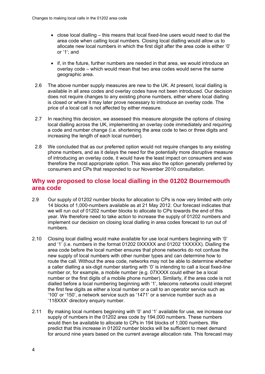- $\bullet$  close local dialling  $-$  this means that local fixed-line users would need to dial the area code when calling local numbers. Closing local dialling would allow us to allocate new local numbers in which the first digit after the area code is either '0' or '1'; and
- if, in the future, further numbers are needed in that area, we would introduce an overlay code – which would mean that two area codes would serve the same geographic area.
- 2.6 The above number supply measures are new to the UK. At present, local dialling is available in all area codes and overlay codes have not been introduced. Our decision does not require changes to any existing phone numbers, either where local dialling is closed or where it may later prove necessary to introduce an overlay code. The price of a local call is not affected by either measure.
- 2.7 In reaching this decision, we assessed this measure alongside the options of closing local dialling across the UK, implementing an overlay code immediately and requiring a code and number change (i.e. shortening the area code to two or three digits and increasing the length of each local number).
- 2.8 We concluded that as our preferred option would not require changes to any existing phone numbers, and as it delays the need for the potentially more disruptive measure of introducing an overlay code, it would have the least impact on consumers and was therefore the most appropriate option. This was also the option generally preferred by consumers and CPs that responded to our November 2010 consultation.

## **Why we proposed to close local dialling in the 01202 Bournemouth area code**

- 2.9 Our supply of 01202 number blocks for allocation to CPs is now very limited with only 14 blocks of 1,000-numbers available as at 21 May 2012. Our forecast indicates that we will run out of 01202 number blocks to allocate to CPs towards the end of this year. We therefore need to take action to increase the supply of 01202 numbers and implement our decision on closing local dialling in area codes forecast to run out of numbers.
- 2.10 Closing local dialling would make available for use local numbers beginning with '0' and '1' (i.e. numbers in the format 01202 0XXXXX and 01202 1XXXXX). Dialling the area code before the local number ensures that phone networks do not confuse the new supply of local numbers with other number types and can determine how to route the call. Without the area code, networks may not be able to determine whether a caller dialling a six-digit number starting with '0' is intending to call a local fixed-line number or, for example, a mobile number (e.g. 07XXXX could either be a local number or the first digits of a mobile phone number). Similarly, if the area code is not dialled before a local numbering beginning with '1', telecoms networks could interpret the first few digits as either a local number or a call to an operator service such as '100' or '150', a network service such as '1471' or a service number such as a '118XXX' directory enquiry number.
- 2.11 By making local numbers beginning with '0' and '1' available for use, we increase our supply of numbers in the 01202 area code by 194,000 numbers. These numbers would then be available to allocate to CPs in 194 blocks of 1,000 numbers. We predict that this increase in 01202 number blocks will be sufficient to meet demand for around nine years based on the current average allocation rate. This forecast may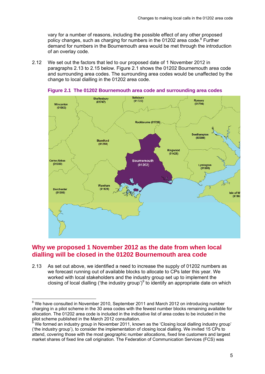vary for a number of reasons, including the possible effect of any other proposed policy changes, such as charging for numbers in the 01202 area code.<sup>8</sup> Further demand for numbers in the Bournemouth area would be met through the introduction of an overlay code.

2.12 We set out the factors that led to our proposed date of 1 November 2012 in paragraphs 2.13 to 2.15 below. Figure 2.1 shows the 01202 Bournemouth area code and surrounding area codes. The surrounding area codes would be unaffected by the change to local dialling in the 01202 area code.



**Figure 2.1 The 01202 Bournemouth area code and surrounding area codes** 

## **Why we proposed 1 November 2012 as the date from when local dialling will be closed in the 01202 Bournemouth area code**

2.13 As set out above, we identified a need to increase the supply of 01202 numbers as we forecast running out of available blocks to allocate to CPs later this year. We worked with local stakeholders and the industry group set up to implement the closing of local dialling ('the industry group') $9$  to identify an appropriate date on which

<sup>————————————————————&</sup>lt;br><sup>8</sup> We have consulted in November 2010, September 2011 and March 2012 on introducing number charging in a pilot scheme in the 30 area codes with the fewest number blocks remaining available for allocation. The 01202 area code is included in the indicative list of area codes to be included in the pilot scheme published in the March 2012 consultation.

<sup>9</sup> We formed an industry group in November 2011, known as the 'Closing local dialling industry group' ('the industry group'), to consider the implementation of closing local dialling. We invited 15 CPs to attend, covering those with the most geographic number allocations, fixed line customers and largest market shares of fixed line call origination. The Federation of Communication Services (FCS) was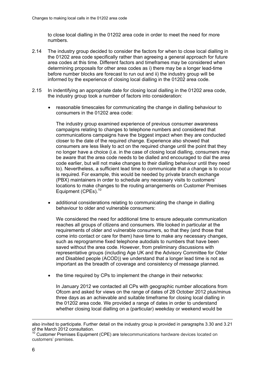to close local dialling in the 01202 area code in order to meet the need for more numbers.

- 2.14 The industry group decided to consider the factors for when to close local dialling in the 01202 area code specifically rather than agreeing a general approach for future area codes at this time. Different factors and timeframes may be considered when determining proposals for other area codes as i) there may be a longer lead-time before number blocks are forecast to run out and ii) the industry group will be informed by the experience of closing local dialling in the 01202 area code.
- 2.15 In indentifying an appropriate date for closing local dialling in the 01202 area code, the industry group took a number of factors into consideration:
	- reasonable timescales for communicating the change in dialling behaviour to consumers in the 01202 area code:

The industry group examined experience of previous consumer awareness campaigns relating to changes to telephone numbers and considered that communications campaigns have the biggest impact when they are conducted closer to the date of the required change. Experience also showed that consumers are less likely to act on the required change until the point that they no longer have a choice (i.e. in the case of closing local dialling, consumers may be aware that the area code needs to be dialled and encouraged to dial the area code earlier, but will not make changes to their dialling behaviour until they need to). Nevertheless, a sufficient lead time to communicate that a change is to occur is required. For example, this would be needed by private branch exchange (PBX) maintainers in order to schedule any necessary visits to customers' locations to make changes to the routing arrangements on Customer Premises Equipment (CPEs).<sup>10</sup>

 additional considerations relating to communicating the change in dialling behaviour to older and vulnerable consumers:

We considered the need for additional time to ensure adequate communication reaches all groups of citizens and consumers. We looked in particular at the requirements of older and vulnerable consumers, so that they (and those that come into contact or care for them) have time to make any necessary changes, such as reprogramme fixed telephone autodials to numbers that have been saved without the area code. However, from preliminary discussions with representative groups (including Age UK and the Advisory Committee for Older and Disabled people (ACOD)) we understand that a longer lead time is not as important as the breadth of coverage and consistency of message planned.

the time required by CPs to implement the change in their networks:

In January 2012 we contacted all CPs with geographic number allocations from Ofcom and asked for views on the range of dates of 28 October 2012 plus/minus three days as an achievable and suitable timeframe for closing local dialling in the 01202 area code. We provided a range of dates in order to understand whether closing local dialling on a (particular) weekday or weekend would be

<u>.</u>

also invited to participate. Further detail on the industry group is provided in paragraphs 3.30 and 3.21 of the March 2012 consultation.

<sup>&</sup>lt;sup>10</sup> Customer Premises Equipment (CPE) are telecommunications hardware devices located on customers' premises.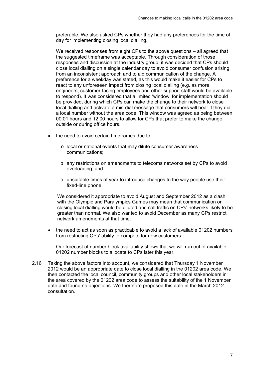preferable. We also asked CPs whether they had any preferences for the time of day for implementing closing local dialling.

We received responses from eight CPs to the above questions – all agreed that the suggested timeframe was acceptable. Through consideration of those responses and discussion at the industry group, it was decided that CPs should close local dialling on a single calendar day to avoid consumer confusion arising from an inconsistent approach and to aid communication of the change. A preference for a weekday was stated, as this would make it easier for CPs to react to any unforeseen impact from closing local dialling (e.g. as more engineers, customer-facing employees and other support staff would be available to respond). It was considered that a limited 'window' for implementation should be provided, during which CPs can make the change to their network to close local dialling and activate a mis-dial message that consumers will hear if they dial a local number without the area code. This window was agreed as being between 00:01 hours and 12:00 hours to allow for CPs that prefer to make the change outside or during office hours.

- the need to avoid certain timeframes due to:
	- o local or national events that may dilute consumer awareness communications;
	- o any restrictions on amendments to telecoms networks set by CPs to avoid overloading; and
	- o unsuitable times of year to introduce changes to the way people use their fixed-line phone.

We considered it appropriate to avoid August and September 2012 as a clash with the Olympic and Paralympics Games may mean that communication on closing local dialling would be diluted and call traffic on CPs' networks likely to be greater than normal. We also wanted to avoid December as many CPs restrict network amendments at that time.

 the need to act as soon as practicable to avoid a lack of available 01202 numbers from restricting CPs' ability to compete for new customers.

Our forecast of number block availability shows that we will run out of available 01202 number blocks to allocate to CPs later this year.

2.16 Taking the above factors into account, we considered that Thursday 1 November 2012 would be an appropriate date to close local dialling in the 01202 area code. We then contacted the local council, community groups and other local stakeholders in the area covered by the 01202 area code to assess the suitability of the 1 November date and found no objections. We therefore proposed this date in the March 2012 consultation.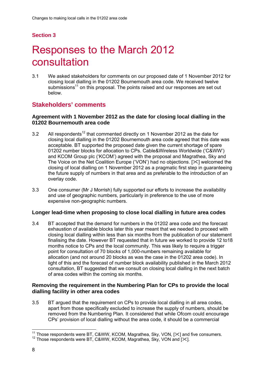## **Section 3**

# 3 Responses to the March 2012 consultation

3.1 We asked stakeholders for comments on our proposed date of 1 November 2012 for closing local dialling in the 01202 Bournemouth area code. We received twelve submissions<sup>11</sup> on this proposal. The points raised and our responses are set out below.

## **Stakeholders' comments**

#### **Agreement with 1 November 2012 as the date for closing local dialling in the 01202 Bournemouth area code**

- 3.2 All respondents<sup>12</sup> that commented directly on 1 November 2012 as the date for closing local dialling in the 01202 Bournemouth area code agreed that this date was acceptable. BT supported the proposed date given the current shortage of spare 01202 number blocks for allocation to CPs. Cable&Wireless Worldwide ('C&WW') and KCOM Group plc ('KCOM') agreed with the proposal and Magrathea, Sky and The Voice on the Net Coalition Europe ('VON') had no objections. [ $\&$ ] welcomed the closing of local dialling on 1 November 2012 as a pragmatic first step in guaranteeing the future supply of numbers in that area and as preferable to the introduction of an overlay code.
- 3.3 One consumer (Mr J Morrish) fully supported our efforts to increase the availability and use of geographic numbers, particularly in preference to the use of more expensive non-geographic numbers.

#### **Longer lead-time when proposing to close local dialling in future area codes**

3.4 BT accepted that the demand for numbers in the 01202 area code and the forecast exhaustion of available blocks later this year meant that we needed to proceed with closing local dialling within less than six months from the publication of our statement finalising the date. However BT requested that in future we worked to provide 12 to18 months notice to CPs and the local community. This was likely to require a trigger point for consultation of 70 blocks of 1,000-numbers remaining available for allocation (and not around 20 blocks as was the case in the 01202 area code). In light of this and the forecast of number block availability published in the March 2012 consultation, BT suggested that we consult on closing local dialling in the next batch of area codes within the coming six months.

## **Removing the requirement in the Numbering Plan for CPs to provide the local dialling facility in other area codes**

3.5 BT argued that the requirement on CPs to provide local dialling in all area codes, apart from those specifically excluded to increase the supply of numbers, should be removed from the Numbering Plan. It considered that while Ofcom could encourage CPs' provision of local dialling without the area code, it should be a commercial

<sup>&</sup>lt;sup>11</sup> Those respondents were BT. C&WW, KCOM, Magrathea, Sky, VON, [ $\ll$ ] and five consumers.

 $12$  Those respondents were BT, C&WW, KCOM, Magrathea, Sky, VON and [ $\ll$ ].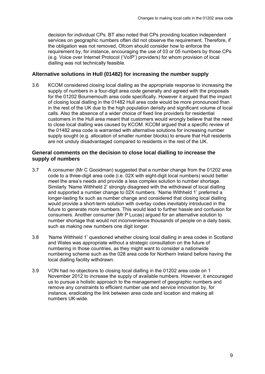decision for individual CPs. BT also noted that CPs providing location independent services on geographic numbers often did not observe the requirement. Therefore, if the obligation was not removed, Ofcom should consider how to enforce the requirement by, for instance, encouraging the use of 03 or 05 numbers by those CPs (e.g. Voice over Internet Protocol ('VoIP') providers) for whom provision of local dialling was not technically feasible.

#### **Alternative solutions in Hull (01482) for increasing the number supply**

3.6 KCOM considered closing local dialling as the appropriate response to increasing the supply of numbers in a four-digit area code generally and agreed with the proposals for the 01202 Bournemouth area code specifically. However it argued that the impact of closing local dialling in the 01482 Hull area code would be more pronounced than in the rest of the UK due to the high population density and significant volume of local calls. Also the absence of a wider choice of fixed line providers for residential customers in the Hull area meant that customers would wrongly believe that the need to close local dialling was caused by KCOM. KCOM argued that a specific review of the 01482 area code is warranted with alternative solutions for increasing number supply sought (e.g. allocation of smaller number blocks) to ensure that Hull residents are not unduly disadvantaged compared to residents in the rest of the UK.

#### **General comments on the decision to close local dialling to increase the supply of numbers**

- 3.7 A consumer (Mr C Gooidman) suggested that a number change from the 01202 area code to a three-digit area code (i.e. 02X with eight-digit local numbers) would better meet the area's needs and provide a less complex solution to number shortage. Similarly 'Name Withheld 2' strongly disagreed with the withdrawal of local dialling and supported a number change to 02X numbers. 'Name Withheld 1' preferred a longer-lasting fix such as number change and considered that closing local dialling would provide a short-term solution with overlay codes inevitably introduced in the future to generate more numbers. This would lead to further hassle and confusion for consumers. Another consumer (Mr P Lucas) argued for an alternative solution to number shortage that would not inconvenience thousands of people on a daily basis, such as making new numbers one digit longer.
- 3.8 'Name Withheld 1' questioned whether closing local dialling in area codes in Scotland and Wales was appropriate without a strategic consultation on the future of numbering in those countries, as they might want to consider a nationwide numbering scheme such as the 028 area code for Northern Ireland before having the local dialling facility withdrawn.
- 3.9 VON had no objections to closing local dialling in the 01202 area code on 1 November 2012 to increase the supply of available numbers. However, it encouraged us to pursue a holistic approach to the management of geographic numbers and remove any constraints to efficient number use and service innovation by, for instance, eradicating the link between area code and location and making all numbers UK-wide.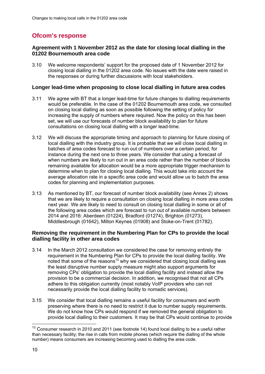## **Ofcom's response**

## **Agreement with 1 November 2012 as the date for closing local dialling in the 01202 Bournemouth area code**

3.10 We welcome respondents' support for the proposed date of 1 November 2012 for closing local dialling in the 01202 area code. No issues with the date were raised in the responses or during further discussions with local stakeholders.

#### **Longer lead-time when proposing to close local dialling in future area codes**

- 3.11 We agree with BT that a longer lead-time for future changes to dialling requirements would be preferable. In the case of the 01202 Bournemouth area code, we consulted on closing local dialling as soon as possible following the setting of policy for increasing the supply of numbers where required. Now the policy on this has been set, we will use our forecasts of number block availability to plan for future consultations on closing local dialling with a longer lead-time.
- 3.12 We will discuss the appropriate timing and approach to planning for future closing of local dialling with the industry group. It is probable that we will close local dialling in batches of area codes forecast to run out of numbers over a certain period, for instance during the next one to three years. We consider that using a forecast of when numbers are likely to run out in an area code rather than the number of blocks remaining available for allocation would be a more appropriate trigger mechanism to determine when to plan for closing local dialling. This would take into account the average allocation rate in a specific area code and would allow us to batch the area codes for planning and implementation purposes.
- 3.13 As mentioned by BT, our forecast of number block availability (see Annex 2) shows that we are likely to require a consultation on closing local dialling in more area codes next year. We are likely to need to consult on closing local dialling in some or all of the following area codes which are forecast to run out of available numbers between 2014 and 2016: Aberdeen (01224), Bradford (01274), Brighton (01273), Middlesbrough (01642), Milton Keynes (01908) and Stoke-on-Trent (01782).

## **Removing the requirement in the Numbering Plan for CPs to provide the local dialling facility in other area codes**

- 3.14 In the March 2012 consultation we considered the case for removing entirely the requirement in the Numbering Plan for CPs to provide the local dialling facility. We noted that some of the reasons<sup>13</sup> why we considered that closing local dialling was the least disruptive number supply measure might also support arguments for removing CPs' obligation to provide the local dialling facility and instead allow the provision to be a commercial decision. In addition, we recognised that not all CPs adhere to this obligation currently (most notably VoIP providers who can not necessarily provide the local dialling facility to nomadic services).
- 3.15 We consider that local dialling remains a useful facility for consumers and worth preserving where there is no need to restrict it due to number supply requirements. We do not know how CPs would respond if we removed the general obligation to provide local dialling to their customers. It may be that CPs would continue to provide

<sup>-</sup> $13$  Consumer research in 2010 and 2011 (see footnote 14) found local dialling to be a useful rather than necessary facility; the rise in calls from mobile phones (which require the dialling of the whole number) means consumers are increasing becoming used to dialling the area code.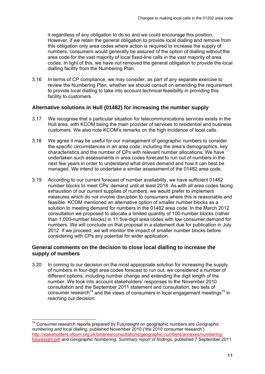it regardless of any obligation to do so and we could encourage this position. However, if we retain the general obligation to provide local dialling and remove from this obligation only area codes where action is required to increase the supply of numbers, consumers would generally be assured of the option of dialling without the area code for the vast majority of local fixed-line calls in the vast majority of area codes. In light of this, we have not removed the general obligation to provide the local dialling facility from the Numbering Plan.

3.16 In terms of CP compliance, we may consider, as part of any separate exercise to review the Numbering Plan, whether we should consult on amending the requirement to provide local dialling to take into account technical feasibility in providing this facility to customers.

#### **Alternative solutions in Hull (01482) for increasing the number supply**

- 3.17 We recognise that a particular situation for telecommunications services exists in the Hull area, with KCOM being the main provider of services to residential and business customers. We also note KCOM's remarks on the high incidence of local calls.
- 3.18 We agree it may be useful for our management of geographic numbers to consider the specific circumstances in an area code, including the area's demographics, key characteristics and the number of CPs with relevant number allocations. We have undertaken such assessments in area codes forecast to run out of numbers in the next few years in order to understand what drives demand and how it can best be managed. We intend to undertake a similar assessment of the 01482 area code.
- 3.19 According to our current forecast of number availability, we have sufficient 01482 number blocks to meet CPs' demand until at least 2018. As with all area codes facing exhaustion of our current supplies of numbers, we would prefer to implement measures which do not involve disruption to consumers where this is reasonable and feasible. KCOM mentioned an alternative option of smaller number blocks as a solution to meeting demand for numbers in the 01482 area code. In the March 2012 consultation we proposed to allocate a limited quantity of 100-number blocks (rather than 1,000-number blocks) in 11 five-digit area codes with low consumer demand for numbers. We will conclude on that proposal in a statement due for publication in July 2012. If we proceed, we will monitor the impact of smaller number blocks before considering with CPs any potential for wider application.

## **General comments on the decision to close local dialling to increase the supply of numbers**

3.20 In coming to our decision on the most appropriate solution for increasing the supply of numbers in four-digit area codes forecast to run out, we considered a number of different options, including number change and extending the digit length of the number. We took into account stakeholders' responses to the November 2010 consultation and the September 2011 statement and consultation, two sets of consumer research<sup>14</sup> and the views of consumers in local engagement meetings<sup>15</sup> in reaching our decision.

<sup>14</sup> Consumer research reports prepared by Futuresight on geographic numbers are *Geographic numbering and local dialling*, published November 2010 ('the 2010 consumer research') http://stakeholders.ofcom.org.uk/binaries/consultations/geographic-numbers/annexes/numberingfuturesight.pdf and *Geographic Numbering: Summary report of findings,* published 7 September 2011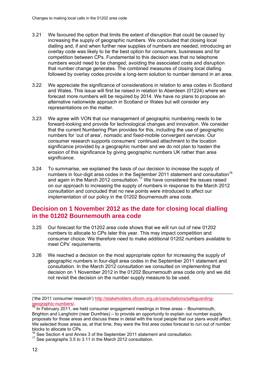- 3.21 We favoured the option that limits the extent of disruption that could be caused by increasing the supply of geographic numbers. We concluded that closing local dialling and, if and when further new supplies of numbers are needed, introducing an overlay code was likely to be the best option for consumers, businesses and for competition between CPs. Fundamental to this decision was that no telephone numbers would need to be changed, avoiding the associated costs and disruption that number change generates. The combined measures of closing local dialling followed by overlay codes provide a long-term solution to number demand in an area.
- 3.22 We appreciate the significance of considerations in relation to area codes in Scotland and Wales. This issue will first be raised in relation to Aberdeen (01224) where we forecast more numbers will be required by 2014. We have no plans to propose an alternative nationwide approach in Scotland or Wales but will consider any representations on the matter.
- 3.23 We agree with VON that our management of geographic numbering needs to be forward-looking and provide for technological changes and innovation. We consider that the current Numbering Plan provides for this, including the use of geographic numbers for 'out of area', nomadic and fixed-mobile convergent services. Our consumer research supports consumers' continued attachment to the location significance provided by a geographic number and we do not plan to hasten the erosion of this significance by giving geographic numbers UK rather than area significance.
- 3.24 To summarise, we explained the basis of our decision to increase the supply of numbers in four-digit area codes in the September 2011 statement and consultation<sup>16</sup> and again in the March 2012 consultation.<sup>17</sup> We have considered the issues raised on our approach to increasing the supply of numbers in response to the March 2012 consultation and concluded that no new points were introduced to affect our implementation of our policy in the 01202 Bournemouth area code.

## **Decision on 1 November 2012 as the date for closing local dialling in the 01202 Bournemouth area code**

- 3.25 Our forecast for the 01202 area code shows that we will run out of new 01202 numbers to allocate to CPs later this year. This may impact competition and consumer choice. We therefore need to make additional 01202 numbers available to meet CPs' requirements.
- 3.26 We reached a decision on the most appropriate option for increasing the supply of geographic numbers in four-digit area codes in the September 2011 statement and consultation. In the March 2012 consultation we consulted on implementing that decision on 1 November 2012 in the 01202 Bournemouth area code only and we did not revisit the decision on the number supply measure to be used.

<sup>-</sup>('the 2011 consumer research') http://stakeholders.ofcom.org.uk/consultations/safeguarding-<br>geographic-numbers/<br><sup>15</sup> In Eebruary 2011, we hald assume

In February 2011, we held consumer engagement meetings in three areas – Bournemouth, Brighton and Langholm (near Dumfries) – to provide an opportunity to explain our number supply proposals for those areas and discuss these in detail with the local people that our plans would affect. We selected those areas as, at that time, they were the first area codes forecast to run out of number blocks to allocate to CPs.

<sup>&</sup>lt;sup>16</sup> See Section 4 and Annex 3 of the September 2011 statement and consultation.<br><sup>17</sup> See paragraphs 3.5 to 3.11 in the March 2012 consultation.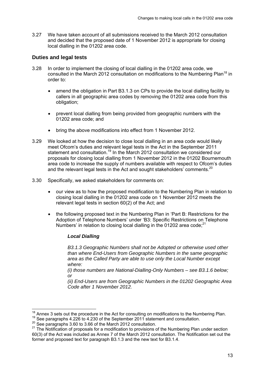3.27 We have taken account of all submissions received to the March 2012 consultation and decided that the proposed date of 1 November 2012 is appropriate for closing local dialling in the 01202 area code.

### **Duties and legal tests**

- 3.28 In order to implement the closing of local dialling in the 01202 area code, we consulted in the March 2012 consultation on modifications to the Numbering Plan<sup>18</sup> in order to:
	- amend the obligation in Part B3.1.3 on CPs to provide the local dialling facility to callers in all geographic area codes by removing the 01202 area code from this obligation;
	- prevent local dialling from being provided from geographic numbers with the 01202 area code; and
	- bring the above modifications into effect from 1 November 2012.
- 3.29 We looked at how the decision to close local dialling in an area code would likely meet Ofcom's duties and relevant legal tests in the Act in the September 2011 statement and consultation.<sup>19</sup> In the March 2012 consultation we considered our proposals for closing local dialling from 1 November 2012 in the 01202 Bournemouth area code to increase the supply of numbers available with respect to Ofcom's duties and the relevant legal tests in the Act and sought stakeholders' comments. $^{20}$
- 3.30 Specifically, we asked stakeholders for comments on:
	- our view as to how the proposed modification to the Numbering Plan in relation to closing local dialling in the 01202 area code on 1 November 2012 meets the relevant legal tests in section 60(2) of the Act; and
	- the following proposed text in the Numbering Plan in 'Part B: Restrictions for the Adoption of Telephone Numbers' under 'B3: Specific Restrictions on Telephone Numbers' in relation to closing local dialling in the 01202 area code; $^{21}$

#### *Local Dialling*

*B3.1.3 Geographic Numbers shall not be Adopted or otherwise used other than where End-Users from Geographic Numbers in the same geographic area as the Called Party are able to use only the Local Number except where:* 

*(i) those numbers are National-Dialling-Only Numbers – see B3.1.6 below; or* 

*(ii) End-Users are from Geographic Numbers in the 01202 Geographic Area Code after 1 November 2012.* 

<sup>&</sup>lt;sup>18</sup> Annex 3 sets out the procedure in the Act for consulting on modifications to the Numbering Plan.

<sup>&</sup>lt;sup>19</sup> See paragraphs 4.226 to 4.230 of the September 2011 statement and consultation.<br>
<sup>20</sup> See paragraphs 3.60 to 3.66 of the March 2012 consultation.<br>
<sup>21</sup> The Notification of proposals for a modification to provisions o 60(3) of the Act was included as Annex 7 of the March 2012 consultation. The Notification set out the former and proposed text for paragraph B3.1.3 and the new text for B3.1.4.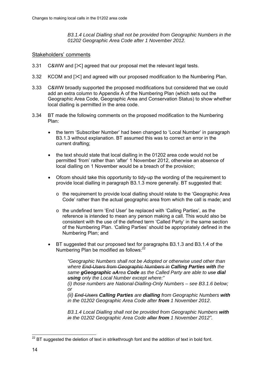*B3.1.4 Local Dialling shall not be provided from Geographic Numbers in the 01202 Geographic Area Code after 1 November 2012.* 

#### Stakeholders' comments

- 3.31 C&WW and  $[\&]$  agreed that our proposal met the relevant legal tests.
- 3.32 KCOM and  $[\times]$  and agreed with our proposed modification to the Numbering Plan.
- 3.33 C&WW broadly supported the proposed modifications but considered that we could add an extra column to Appendix A of the Numbering Plan (which sets out the Geographic Area Code, Geographic Area and Conservation Status) to show whether local dialling is permitted in the area code.
- 3.34 BT made the following comments on the proposed modification to the Numbering Plan:
	- the term 'Subscriber Number' had been changed to 'Local Number' in paragraph B3.1.3 without explanation. BT assumed this was to correct an error in the current drafting;
	- the text should state that local dialling in the 01202 area code would not be permitted 'from' rather than 'after' 1 November 2012, otherwise an absence of local dialling on 1 November would be a breach of the provision;
	- Ofcom should take this opportunity to tidy-up the wording of the requirement to provide local dialling in paragraph B3.1.3 more generally. BT suggested that:
		- $\circ$  the requirement to provide local dialling should relate to the 'Geographic Area Code' rather than the actual geographic area from which the call is made; and
		- o the undefined term 'End User' be replaced with 'Calling Parties', as the reference is intended to mean any person making a call. This would also be consistent with the use of the defined term 'Called Party' in the same section of the Numbering Plan. 'Calling Parties' should be appropriately defined in the Numbering Plan; and
	- BT suggested that our proposed text for paragraphs B3.1.3 and B3.1.4 of the Numbering Plan be modified as follows:<sup>22</sup>

*"Geographic Numbers shall not be Adopted or otherwise used other than where End-Users from Geographic Numbers in Calling Parties with the same gGeographic aArea Code as the Called Party are able to use dial using only the Local Number except where:"* 

*(i) those numbers are National-Dialling-Only Numbers – see B3.1.6 below; or* 

*(ii) End-Users Calling Parties are dialling from Geographic Numbers with in the 01202 Geographic Area Code after from 1 November 2012*.

*B3.1.4 Local Dialling shall not be provided from Geographic Numbers with in the 01202 Geographic Area Code after from 1 November 2012".*

 $\overline{a}$  $22$  BT suggested the deletion of text in strikethrough font and the addition of text in bold font.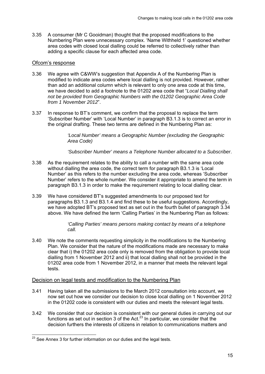3.35 A consumer (Mr C Gooidman) thought that the proposed modifications to the Numbering Plan were unnecessary complex. 'Name Withheld 1' questioned whether area codes with closed local dialling could be referred to collectively rather than adding a specific clause for each affected area code.

#### Ofcom's response

- 3.36 We agree with C&WW's suggestion that Appendix A of the Numbering Plan is modified to indicate area codes where local dialling is not provided. However, rather than add an additional column which is relevant to only one area code at this time, we have decided to add a footnote to the 01202 area code that "*Local Dialling shall not be provided from Geographic Numbers with the 01202 Geographic Area Code from 1 November 2012*".
- 3.37 In response to BT's comment, we confirm that the proposal to replace the term 'Subscriber Number' with 'Local Number' in paragraph B3.1.3 is to correct an error in the original drafting. These two terms are defined in the Numbering Plan as:

*'Local Number' means a Geographic Number (excluding the Geographic Area Code)* 

*'Subscriber Number' means a Telephone Number allocated to a Subscriber*.

- 3.38 As the requirement relates to the ability to call a number with the same area code without dialling the area code, the correct term for paragraph B3.1.3 is 'Local Number' as this refers to the number excluding the area code, whereas 'Subscriber Number' refers to the whole number. We consider it appropriate to amend the term in paragraph B3.1.3 in order to make the requirement relating to local dialling clear.
- 3.39 We have considered BT's suggested amendments to our proposed text for paragraphs B3.1.3 and B3.1.4 and find these to be useful suggestions. Accordingly, we have adopted BT's proposed text as set out in the fourth bullet of paragraph 3.34 above. We have defined the term 'Calling Parties' in the Numbering Plan as follows:

*'Calling Parties' means persons making contact by means of a telephone call.*

3.40 We note the comments requesting simplicity in the modifications to the Numbering Plan. We consider that the nature of the modifications made are necessary to make clear that i) the 01202 area code only is removed from the obligation to provide local dialling from 1 November 2012 and ii) that local dialling shall not be provided in the 01202 area code from 1 November 2012, in a manner that meets the relevant legal tests.

### Decision on legal tests and modification to the Numbering Plan

- 3.41 Having taken all the submissions to the March 2012 consultation into account, we now set out how we consider our decision to close local dialling on 1 November 2012 in the 01202 code is consistent with our duties and meets the relevant legal tests.
- 3.42 We consider that our decision is consistent with our general duties in carrying out our functions as set out in section 3 of the Act.23 In particular, we consider that the decision furthers the interests of citizens in relation to communications matters and

 $\overline{a}$  $23$  See Annex 3 for further information on our duties and the legal tests.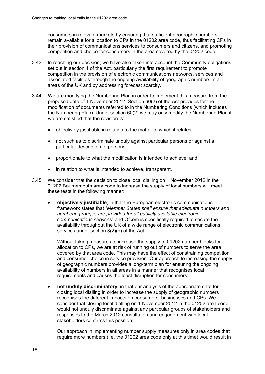consumers in relevant markets by ensuring that sufficient geographic numbers remain available for allocation to CPs in the 01202 area code, thus facilitating CPs in their provision of communications services to consumers and citizens, and promoting competition and choice for consumers in the area covered by the 01202 code.

- 3.43 In reaching our decision, we have also taken into account the Community obligations set out in section 4 of the Act, particularly the first requirement to promote competition in the provision of electronic communications networks, services and associated facilities through the ongoing availability of geographic numbers in all areas of the UK and by addressing forecast scarcity.
- 3.44 We are modifying the Numbering Plan in order to implement this measure from the proposed date of 1 November 2012. Section 60(2) of the Act provides for the modification of documents referred to in the Numbering Conditions (which includes the Numbering Plan). Under section 60(2) we may only modify the Numbering Plan if we are satisfied that the revision is:
	- objectively justifiable in relation to the matter to which it relates;
	- not such as to discriminate unduly against particular persons or against a particular description of persons;
	- proportionate to what the modification is intended to achieve; and
	- in relation to what is intended to achieve, transparent.
- 3.45 We consider that the decision to close local dialling on 1 November 2012 in the 01202 Bournemouth area code to increase the supply of local numbers will meet these tests in the following manner:
	- **objectively justifiable**, in that the European electronic communications framework states that "*Member States shall ensure that adequate numbers and numbering ranges are provided for all publicly available electronic communications services*" and Ofcom is specifically required to secure the availability throughout the UK of a wide range of electronic communications services under section 3(2)(b) of the Act.

Without taking measures to increase the supply of 01202 number blocks for allocation to CPs, we are at risk of running out of numbers to serve the area covered by that area code. This may have the effect of constraining competition and consumer choice in service provision. Our approach to increasing the supply of geographic numbers provides a long-term plan for ensuring the ongoing availability of numbers in all areas in a manner that recognises local requirements and causes the least disruption for consumers;

 **not unduly discriminatory**, in that our analysis of the appropriate date for closing local dialling in order to increase the supply of geographic numbers recognises the different impacts on consumers, businesses and CPs. We consider that closing local dialling on 1 November 2012 in the 01202 area code would not unduly discriminate against any particular groups of stakeholders and responses to the March 2012 consultation and engagement with local stakeholders confirms this position;

Our approach in implementing number supply measures only in area codes that require more numbers (i.e. the 01202 area code only at this time) would result in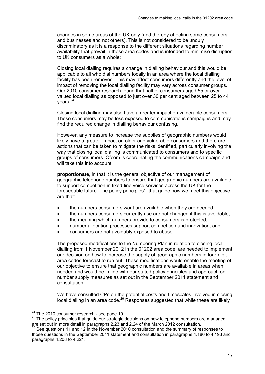changes in some areas of the UK only (and thereby affecting some consumers and businesses and not others). This is not considered to be unduly discriminatory as it is a response to the different situations regarding number availability that prevail in those area codes and is intended to minimise disruption to UK consumers as a whole;

Closing local dialling requires a change in dialling behaviour and this would be applicable to all who dial numbers locally in an area where the local dialling facility has been removed. This may affect consumers differently and the level of impact of removing the local dialling facility may vary across consumer groups. Our 2010 consumer research found that half of consumers aged 55 or over valued local dialling as opposed to just over 30 per cent aged between 25 to 44  $vears.<sup>24</sup>$ 

Closing local dialling may also have a greater impact on vulnerable consumers. These consumers may be less exposed to communications campaigns and may find the required change in dialling behaviour confusing.

However, any measure to increase the supplies of geographic numbers would likely have a greater impact on older and vulnerable consumers and there are actions that can be taken to mitigate the risks identified, particularly involving the way that closing local dialling is communicated to consumers and to specific groups of consumers. Ofcom is coordinating the communications campaign and will take this into account:

**proportionate**, in that it is the general objective of our management of geographic telephone numbers to ensure that geographic numbers are available to support competition in fixed-line voice services across the UK for the fore seeable future. The policy principles<sup>25</sup> that guide how we meet this objective are that:

- the numbers consumers want are available when they are needed:
- the numbers consumers currently use are not changed if this is avoidable;
- the meaning which numbers provide to consumers is protected;
- number allocation processes support competition and innovation; and
- consumers are not avoidably exposed to abuse.

The proposed modifications to the Numbering Plan in relation to closing local dialling from 1 November 2012 in the 01202 area code are needed to implement our decision on how to increase the supply of geographic numbers in four-digit area codes forecast to run out. These modifications would enable the meeting of our objective to ensure that geographic numbers are available in areas when needed and would be in line with our stated policy principles and approach on number supply measures as set out in the September 2011 statement and consultation.

We have consulted CPs on the potential costs and timescales involved in closing local dialling in an area code.<sup>26</sup> Responses suggested that while these are likely

<sup>&</sup>lt;sup>24</sup> The 2010 consumer research - see page 10.

<sup>&</sup>lt;sup>25</sup> The policy principles that guide our strategic decisions on how telephone numbers are managed are set out in more detail in paragraphs 2.23 and 2.24 of the March 2012 consultation.

<sup>&</sup>lt;sup>26</sup> See questions 11 and 12 in the November 2010 consultation and the summary of responses to those questions in the September 2011 statement and consultation in paragraphs 4.186 to 4.193 and paragraphs 4.208 to 4.221.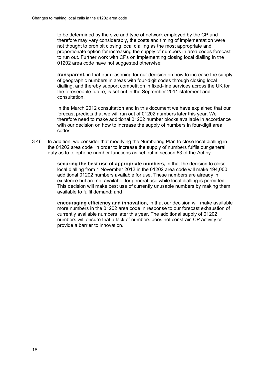to be determined by the size and type of network employed by the CP and therefore may vary considerably, the costs and timing of implementation were not thought to prohibit closing local dialling as the most appropriate and proportionate option for increasing the supply of numbers in area codes forecast to run out. Further work with CPs on implementing closing local dialling in the 01202 area code have not suggested otherwise;

**transparent,** in that our reasoning for our decision on how to increase the supply of geographic numbers in areas with four-digit codes through closing local dialling, and thereby support competition in fixed-line services across the UK for the foreseeable future, is set out in the September 2011 statement and consultation.

In the March 2012 consultation and in this document we have explained that our forecast predicts that we will run out of 01202 numbers later this year. We therefore need to make additional 01202 number blocks available in accordance with our decision on how to increase the supply of numbers in four-digit area codes.

3.46 In addition, we consider that modifying the Numbering Plan to close local dialling in the 01202 area code in order to increase the supply of numbers fulfils our general duty as to telephone number functions as set out in section 63 of the Act by:

> **securing the best use of appropriate numbers,** in that the decision to close local dialling from 1 November 2012 in the 01202 area code will make 194,000 additional 01202 numbers available for use. These numbers are already in existence but are not available for general use while local dialling is permitted. This decision will make best use of currently unusable numbers by making them available to fulfil demand; and

**encouraging efficiency and innovation**, in that our decision will make available more numbers in the 01202 area code in response to our forecast exhaustion of currently available numbers later this year. The additional supply of 01202 numbers will ensure that a lack of numbers does not constrain CP activity or provide a barrier to innovation.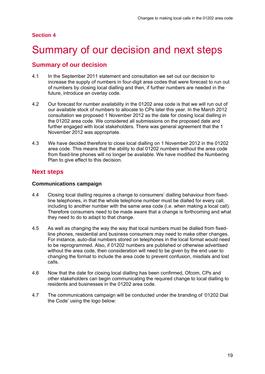#### **Section 4**

## Summary of our decision and next steps

## **Summary of our decision**

- 4.1 In the September 2011 statement and consultation we set out our decision to increase the supply of numbers in four-digit area codes that were forecast to run out of numbers by closing local dialling and then, if further numbers are needed in the future, introduce an overlay code.
- 4.2 Our forecast for number availability in the 01202 area code is that we will run out of our available stock of numbers to allocate to CPs later this year. In the March 2012 consultation we proposed 1 November 2012 as the date for closing local dialling in the 01202 area code. We considered all submissions on the proposed date and further engaged with local stakeholders. There was general agreement that the 1 November 2012 was appropriate.
- 4.3 We have decided therefore to close local dialling on 1 November 2012 in the 01202 area code. This means that the ability to dial 01202 numbers without the area code from fixed-line phones will no longer be available. We have modified the Numbering Plan to give effect to this decision.

## **Next steps**

#### **Communications campaign**

- 4.4 Closing local dialling requires a change to consumers' dialling behaviour from fixedline telephones, in that the whole telephone number must be dialled for every call, including to another number with the same area code (i.e. when making a local call). Therefore consumers need to be made aware that a change is forthcoming and what they need to do to adapt to that change.
- 4.5 As well as changing the way the way that local numbers must be dialled from fixedline phones, residential and business consumers may need to make other changes. For instance, auto-dial numbers stored on telephones in the local format would need to be reprogrammed. Also, if 01202 numbers are published or otherwise advertised without the area code, then consideration will need to be given by the end user to changing the format to include the area code to prevent confusion, misdials and lost calls.
- 4.6 Now that the date for closing local dialling has been confirmed, Ofcom, CPs and other stakeholders can begin communicating the required change to local dialling to residents and businesses in the 01202 area code.
- 4.7 The communications campaign will be conducted under the branding of '01202 Dial the Code' using the logo below: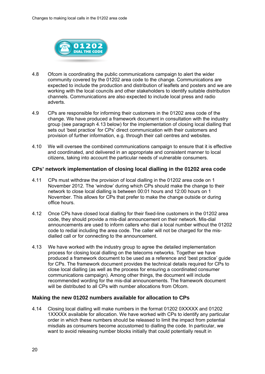

- 4.8 Ofcom is coordinating the public communications campaign to alert the wider community covered by the 01202 area code to the change. Communications are expected to include the production and distribution of leaflets and posters and we are working with the local councils and other stakeholders to identify suitable distribution channels. Communications are also expected to include local press and radio adverts.
- 4.9 CPs are responsible for informing their customers in the 01202 area code of the change. We have produced a framework document in consultation with the industry group (see paragraph 4.13 below) for the implementation of closing local dialling that sets out 'best practice' for CPs' direct communication with their customers and provision of further information, e.g. through their call centres and websites.
- 4.10 We will oversee the combined communications campaign to ensure that it is effective and coordinated, and delivered in an appropriate and consistent manner to local citizens, taking into account the particular needs of vulnerable consumers.

#### **CPs' network implementation of closing local dialling in the 01202 area code**

- 4.11 CPs must withdraw the provision of local dialling in the 01202 area code on 1 November 2012. The 'window' during which CPs should make the change to their network to close local dialling is between 00:01 hours and 12:00 hours on 1 November. This allows for CPs that prefer to make the change outside or during office hours.
- 4.12 Once CPs have closed local dialling for their fixed-line customers in the 01202 area code, they should provide a mis-dial announcement on their network. Mis-dial announcements are used to inform callers who dial a local number without the 01202 code to redial including the area code. The caller will not be charged for the misdialled call or for connecting to the announcement.
- 4.13 We have worked with the industry group to agree the detailed implementation process for closing local dialling on the telecoms networks. Together we have produced a framework document to be used as a reference and 'best practice' guide for CPs. The framework document provides the technical details required for CPs to close local dialling (as well as the process for ensuring a coordinated consumer communications campaign). Among other things, the document will include recommended wording for the mis-dial announcements. The framework document will be distributed to all CPs with number allocations from Ofcom.

#### **Making the new 01202 numbers available for allocation to CPs**

4.14 Closing local dialling will make numbers in the format 01202 0XXXXX and 01202 1XXXXX available for allocation. We have worked with CPs to identify any particular order in which these numbers should be released to limit the impact from potential misdials as consumers become accustomed to dialling the code. In particular, we want to avoid releasing number blocks initially that could potentially result in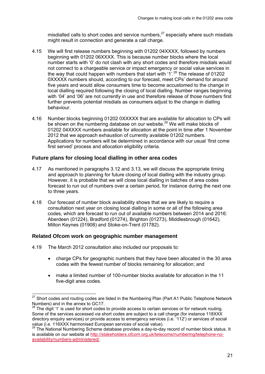misdialled calls to short codes and service numbers, $^{27}$  especially where such misdials might result in connection and generate a call charge.

- 4.15 We will first release numbers beginning with 01202 04XXXX, followed by numbers beginning with 01202 06XXXX. This is because number blocks where the local number starts with '0' do not clash with any short codes and therefore misdials would not connect to a chargeable service or impact emergency or social value services in the way that could happen with numbers that start with '1'.<sup>28</sup> The release of 01202 0XXXXX numbers should, according to our forecast, meet CPs' demand for around five years and would allow consumers time to become accustomed to the change in local dialling required following the closing of local dialling. Number ranges beginning with '04' and '06' are not currently in use and therefore release of those numbers first further prevents potential misdials as consumers adjust to the change in dialling behaviour.
- 4.16 Number blocks beginning 01202 0XXXXX that are available for allocation to CPs will be shown on the numbering database on our website.<sup>29</sup> We will make blocks of 01202 04XXXX numbers available for allocation at the point in time after 1 November 2012 that we approach exhaustion of currently available 01202 numbers. Applications for numbers will be determined in accordance with our usual 'first come first served' process and allocation eligibility criteria.

#### **Future plans for closing local dialling in other area codes**

- 4.17 As mentioned in paragraphs 3.12 and 3.13, we will discuss the appropriate timing and approach to planning for future closing of local dialling with the industry group. However, it is probable that we will close local dialling in batches of area codes forecast to run out of numbers over a certain period, for instance during the next one to three years.
- 4.18 Our forecast of number block availability shows that we are likely to require a consultation next year on closing local dialling in some or all of the following area codes, which are forecast to run out of available numbers between 2014 and 2016: Aberdeen (01224), Bradford (01274), Brighton (01273), Middlesbrough (01642), Milton Keynes (01908) and Stoke-on-Trent (01782).

#### **Related Ofcom work on geographic number management**

- 4.19 The March 2012 consultation also included our proposals to:
	- charge CPs for geographic numbers that they have been allocated in the 30 area codes with the fewest number of blocks remaining for allocation; and
	- make a limited number of 100-number blocks available for allocation in the 11 five-digit area codes.

 $\overline{a}$  $27$  Short codes and routing codes are listed in the Numbering Plan (Part A1 Public Telephone Network Numbers) and in the annex to GC17.

 $28$  The digit '1' is used for short codes to provide access to certain services or for network routing. Some of the services accessed via short codes are subject to a call charge (for instance 118XXX) directory enquiry services) or provide access to emergency services (i.e. '112') or services of social value (i.e. 116XXX harmonised European services of social value).

<sup>&</sup>lt;sup>29</sup> The National Numbering Scheme database provides a day-to-day record of number block status. It is available on our website at http://stakeholders.ofcom.org.uk/telecoms/numbering/telephone-noavailability/numbers-administered/.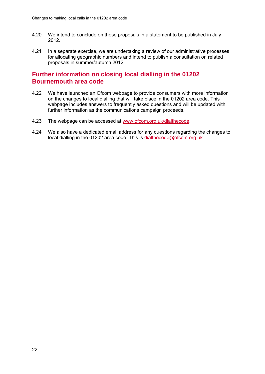- 4.20 We intend to conclude on these proposals in a statement to be published in July 2012.
- 4.21 In a separate exercise, we are undertaking a review of our administrative processes for allocating geographic numbers and intend to publish a consultation on related proposals in summer/autumn 2012.

## **Further information on closing local dialling in the 01202 Bournemouth area code**

- 4.22 We have launched an Ofcom webpage to provide consumers with more information on the changes to local dialling that will take place in the 01202 area code. This webpage includes answers to frequently asked questions and will be updated with further information as the communications campaign proceeds.
- 4.23 The webpage can be accessed at www.ofcom.org.uk/dialthecode.
- 4.24 We also have a dedicated email address for any questions regarding the changes to local dialling in the 01202 area code. This is dialthecode@ofcom.org.uk.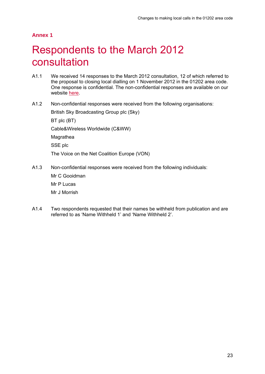### **Annex 1**

# Respondents to the March 2012 consultation

- A1.1 We received 14 responses to the March 2012 consultation, 12 of which referred to the proposal to closing local dialling on 1 November 2012 in the 01202 area code. One response is confidential. The non-confidential responses are available on our website here.
- A1.2 Non-confidential responses were received from the following organisations: British Sky Broadcasting Group plc (Sky) BT plc (BT) Cable&Wireless Worldwide (C&WW)

Magrathea

SSE plc

The Voice on the Net Coalition Europe (VON)

A1.3 Non-confidential responses were received from the following individuals:

Mr C Gooidman Mr P Lucas Mr J Morrish

A1.4 Two respondents requested that their names be withheld from publication and are referred to as 'Name Withheld 1' and 'Name Withheld 2'.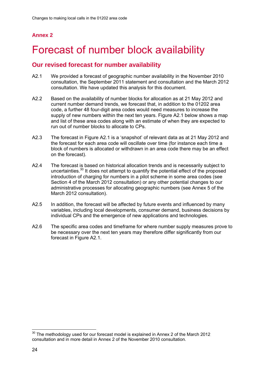## **Annex 2**

# Forecast of number block availability

## **Our revised forecast for number availability**

- A2.1 We provided a forecast of geographic number availability in the November 2010 consultation, the September 2011 statement and consultation and the March 2012 consultation. We have updated this analysis for this document.
- A2.2 Based on the availability of number blocks for allocation as at 21 May 2012 and current number demand trends, we forecast that, in addition to the 01202 area code, a further 48 four-digit area codes would need measures to increase the supply of new numbers within the next ten years. Figure A2.1 below shows a map and list of these area codes along with an estimate of when they are expected to run out of number blocks to allocate to CPs.
- A2.3 The forecast in Figure A2.1 is a 'snapshot' of relevant data as at 21 May 2012 and the forecast for each area code will oscillate over time (for instance each time a block of numbers is allocated or withdrawn in an area code there may be an effect on the forecast).
- A2.4 The forecast is based on historical allocation trends and is necessarily subject to uncertainties.<sup>30</sup> It does not attempt to quantify the potential effect of the proposed introduction of charging for numbers in a pilot scheme in some area codes (see Section 4 of the March 2012 consultation) or any other potential changes to our administrative processes for allocating geographic numbers (see Annex 5 of the March 2012 consultation).
- A2.5 In addition, the forecast will be affected by future events and influenced by many variables, including local developments, consumer demand, business decisions by individual CPs and the emergence of new applications and technologies.
- A2.6 The specific area codes and timeframe for where number supply measures prove to be necessary over the next ten years may therefore differ significantly from our forecast in Figure A2.1.

 $\overline{a}$  $30$  The methodology used for our forecast model is explained in Annex 2 of the March 2012 consultation and in more detail in Annex 2 of the November 2010 consultation.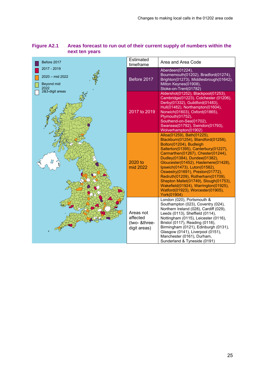

#### **Figure A2.1 Areas forecast to run out of their current supply of numbers within the next ten years**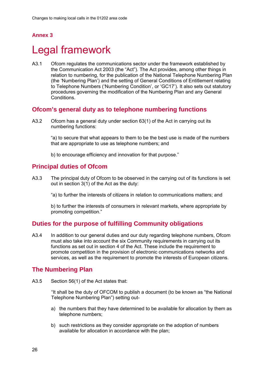## **Annex 3**

# Legal framework

A3.1 Ofcom regulates the communications sector under the framework established by the Communication Act 2003 (the "Act"). The Act provides, among other things in relation to numbering, for the publication of the National Telephone Numbering Plan (the 'Numbering Plan') and the setting of General Conditions of Entitlement relating to Telephone Numbers ('Numbering Condition', or 'GC17'). It also sets out statutory procedures governing the modification of the Numbering Plan and any General **Conditions** 

## **Ofcom's general duty as to telephone numbering functions**

A3.2 Ofcom has a general duty under section 63(1) of the Act in carrying out its numbering functions:

> "a) to secure that what appears to them to be the best use is made of the numbers that are appropriate to use as telephone numbers; and

b) to encourage efficiency and innovation for that purpose."

## **Principal duties of Ofcom**

A3.3 The principal duty of Ofcom to be observed in the carrying out of its functions is set out in section 3(1) of the Act as the duty:

"a) to further the interests of citizens in relation to communications matters; and

b) to further the interests of consumers in relevant markets, where appropriate by promoting competition."

## **Duties for the purpose of fulfilling Community obligations**

A3.4 In addition to our general duties and our duty regarding telephone numbers, Ofcom must also take into account the six Community requirements in carrying out its functions as set out in section 4 of the Act. These include the requirement to promote competition in the provision of electronic communications networks and services, as well as the requirement to promote the interests of European citizens.

## **The Numbering Plan**

A3.5 Section 56(1) of the Act states that:

"It shall be the duty of OFCOM to publish a document (to be known as "the National Telephone Numbering Plan") setting out-

- a) the numbers that they have determined to be available for allocation by them as telephone numbers;
- b) such restrictions as they consider appropriate on the adoption of numbers available for allocation in accordance with the plan;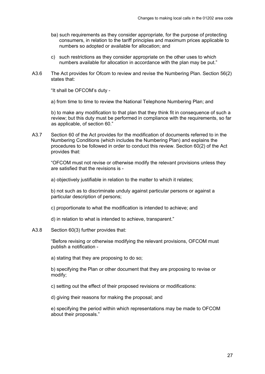- ba) such requirements as they consider appropriate, for the purpose of protecting consumers, in relation to the tariff principles and maximum prices applicable to numbers so adopted or available for allocation; and
- c) such restrictions as they consider appropriate on the other uses to which numbers available for allocation in accordance with the plan may be put."
- A3.6 The Act provides for Ofcom to review and revise the Numbering Plan. Section 56(2) states that:

"It shall be OFCOM's duty -

a) from time to time to review the National Telephone Numbering Plan; and

b) to make any modification to that plan that they think fit in consequence of such a review; but this duty must be performed in compliance with the requirements, so far as applicable, of section 60."

A3.7 Section 60 of the Act provides for the modification of documents referred to in the Numbering Conditions (which includes the Numbering Plan) and explains the procedures to be followed in order to conduct this review. Section 60(2) of the Act provides that:

"OFCOM must not revise or otherwise modify the relevant provisions unless they are satisfied that the revisions is -

a) objectively justifiable in relation to the matter to which it relates;

b) not such as to discriminate unduly against particular persons or against a particular description of persons;

c) proportionate to what the modification is intended to achieve; and

d) in relation to what is intended to achieve, transparent."

#### A3.8 Section 60(3) further provides that:

"Before revising or otherwise modifying the relevant provisions, OFCOM must publish a notification -

a) stating that they are proposing to do so;

b) specifying the Plan or other document that they are proposing to revise or modify;

c) setting out the effect of their proposed revisions or modifications:

d) giving their reasons for making the proposal; and

e) specifying the period within which representations may be made to OFCOM about their proposals."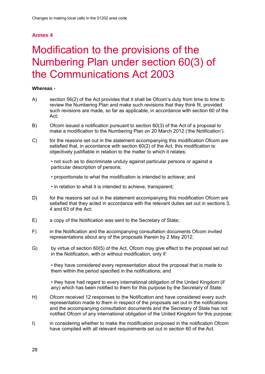## **Annex 4**

# Modification to the provisions of the Numbering Plan under section 60(3) of the Communications Act 2003

#### **Whereas -**

- A) section 56(2) of the Act provides that it shall be Ofcom's duty from time to time to review the Numbering Plan and make such revisions that they think fit, provided such revisions are made, so far as applicable, in accordance with section 60 of the Act;
- B) Ofcom issued a notification pursuant to section 60(3) of the Act of a proposal to make a modification to the Numbering Plan on 20 March 2012 ('the Notification').
- C) for the reasons set out in the statement accompanying this modification Ofcom are satisfied that, in accordance with section 60(2) of the Act, this modification is: objectively justifiable in relation to the matter to which it relates;
	- not such as to discriminate unduly against particular persons or against a particular description of persons;
	- proportionate to what the modification is intended to achieve; and
	- in relation to what it is intended to achieve, transparent;
- D) for the reasons set out in the statement accompanying this modification Ofcom are satisfied that they acted in accordance with the relevant duties set out in sections 3, 4 and 63 of the Act;
- E) a copy of the Notification was sent to the Secretary of State;
- F) in the Notification and the accompanying consultation documents Ofcom invited representations about any of the proposals therein by 2 May 2012;
- G) by virtue of section 60(5) of the Act, Ofcom may give effect to the proposal set out in the Notification, with or without modification, only if:

• they have considered every representation about the proposal that is made to them within the period specified in the notifications; and

• they have had regard to every international obligation of the United Kingdom (if any) which has been notified to them for this purpose by the Secretary of State;

- H) Ofcom received 12 responses to the Notification and have considered every such representation made to them in respect of the proposals set out in the notifications and the accompanying consultation documents and the Secretary of State has not notified Ofcom of any international obligation of the United Kingdom for this purpose;
- I) in considering whether to make the modification proposed in the notification Ofcom have complied with all relevant requirements set out in section 60 of the Act.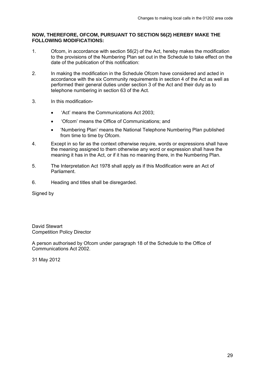#### **NOW, THEREFORE, OFCOM, PURSUANT TO SECTION 56(2) HEREBY MAKE THE FOLLOWING MODIFICATIONS:**

- 1. Ofcom, in accordance with section 56(2) of the Act, hereby makes the modification to the provisions of the Numbering Plan set out in the Schedule to take effect on the date of the publication of this notification:
- 2. In making the modification in the Schedule Ofcom have considered and acted in accordance with the six Community requirements in section 4 of the Act as well as performed their general duties under section 3 of the Act and their duty as to telephone numbering in section 63 of the Act.
- 3. In this modification-
	- 'Act' means the Communications Act 2003;
	- 'Ofcom' means the Office of Communications; and
	- 'Numbering Plan' means the National Telephone Numbering Plan published from time to time by Ofcom.
- 4. Except in so far as the context otherwise require, words or expressions shall have the meaning assigned to them otherwise any word or expression shall have the meaning it has in the Act, or if it has no meaning there, in the Numbering Plan.
- 5. The Interpretation Act 1978 shall apply as if this Modification were an Act of Parliament.
- 6. Heading and titles shall be disregarded.

Signed by

David Stewart Competition Policy Director

A person authorised by Ofcom under paragraph 18 of the Schedule to the Office of Communications Act 2002.

31 May 2012